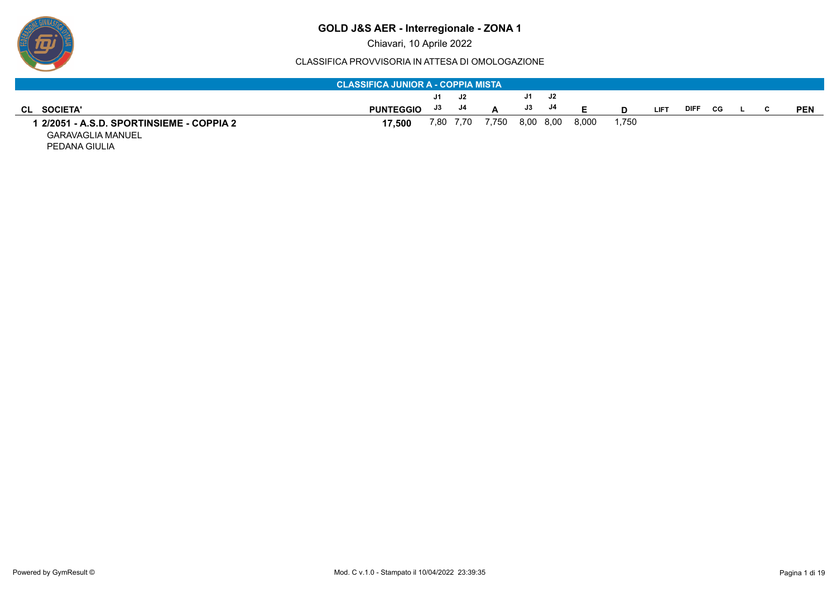

#### CLASSIFICA PROVVISORIA IN ATTESA DI OMOLOGAZIONE

|                                         | <b>CLASSIFICA JUNIOR A - COPPIA MISTA</b> |    |           |       |    |           |       |       |             |      |     |  |            |
|-----------------------------------------|-------------------------------------------|----|-----------|-------|----|-----------|-------|-------|-------------|------|-----|--|------------|
|                                         |                                           | J1 | - J2      |       | J1 | J2        |       |       |             |      |     |  |            |
| <b>SOCIETA'</b><br>CL.                  | <b>PUNTEGGIO</b>                          | J3 | J4        |       | J3 | J4        |       |       | <b>LIFT</b> | DIFI | CG. |  | <b>PEN</b> |
| 2/2051 - A.S.D. SPORTINSIEME - COPPIA 2 | 17.500                                    |    | 7,80 7,70 | 7,750 |    | 8,00 8,00 | 8,000 | 1.750 |             |      |     |  |            |
| <b>GARAVAGLIA MANUEL</b>                |                                           |    |           |       |    |           |       |       |             |      |     |  |            |

PEDANA GIULIA

 $\boldsymbol{\bar{p}}$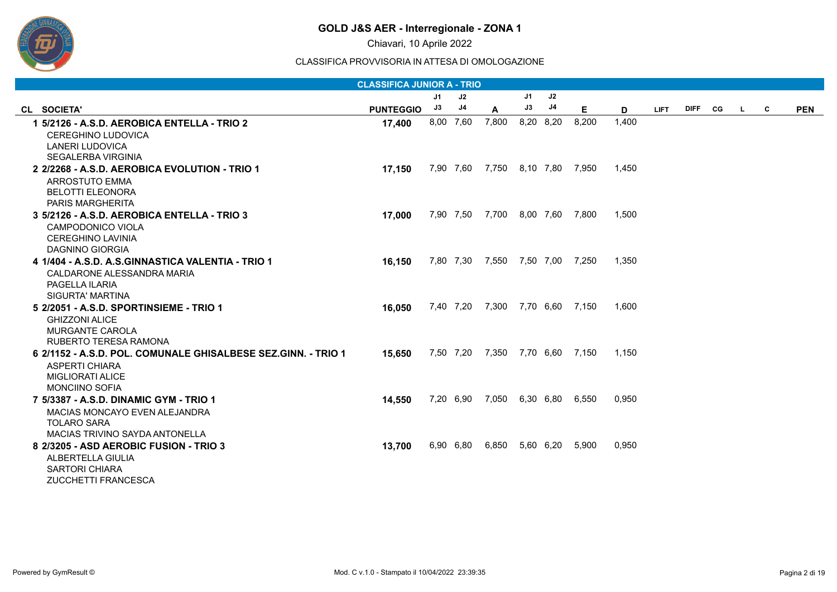

Chiavari, 10 Aprile 2022

|                                                               | <b>CLASSIFICA JUNIOR A - TRIO</b> |    |           |                                 |           |    |       |       |             |         |    |              |            |
|---------------------------------------------------------------|-----------------------------------|----|-----------|---------------------------------|-----------|----|-------|-------|-------------|---------|----|--------------|------------|
|                                                               |                                   | J1 | J2        |                                 | J1        | J2 |       |       |             |         |    |              |            |
| CL SOCIETA'                                                   | <b>PUNTEGGIO</b>                  | J3 | J4        | A                               | J3        | J4 | Е.    | D     | <b>LIFT</b> | DIFF CG | L. | $\mathbf{C}$ | <b>PEN</b> |
| 1 5/2126 - A.S.D. AEROBICA ENTELLA - TRIO 2                   | 17,400                            |    | 8,00 7,60 | 7,800                           | 8,20 8,20 |    | 8,200 | 1,400 |             |         |    |              |            |
| <b>CEREGHINO LUDOVICA</b>                                     |                                   |    |           |                                 |           |    |       |       |             |         |    |              |            |
| <b>LANERI LUDOVICA</b>                                        |                                   |    |           |                                 |           |    |       |       |             |         |    |              |            |
| <b>SEGALERBA VIRGINIA</b>                                     |                                   |    |           |                                 |           |    |       |       |             |         |    |              |            |
| 2 2/2268 - A.S.D. AEROBICA EVOLUTION - TRIO 1                 | 17,150                            |    |           | 7,90 7,60 7,750 8,10 7,80 7,950 |           |    |       | 1.450 |             |         |    |              |            |
| <b>ARROSTUTO EMMA</b>                                         |                                   |    |           |                                 |           |    |       |       |             |         |    |              |            |
| <b>BELOTTI ELEONORA</b><br><b>PARIS MARGHERITA</b>            |                                   |    |           |                                 |           |    |       |       |             |         |    |              |            |
| 3 5/2126 - A.S.D. AEROBICA ENTELLA - TRIO 3                   | 17,000                            |    |           | 7,90 7,50 7,700 8,00 7,60 7,800 |           |    |       | 1,500 |             |         |    |              |            |
| CAMPODONICO VIOLA                                             |                                   |    |           |                                 |           |    |       |       |             |         |    |              |            |
| <b>CEREGHINO LAVINIA</b>                                      |                                   |    |           |                                 |           |    |       |       |             |         |    |              |            |
| DAGNINO GIORGIA                                               |                                   |    |           |                                 |           |    |       |       |             |         |    |              |            |
| 4 1/404 - A.S.D. A.S.GINNASTICA VALENTIA - TRIO 1             | 16,150                            |    |           | 7,80 7,30 7,550 7,50 7,00 7,250 |           |    |       | 1,350 |             |         |    |              |            |
| CALDARONE ALESSANDRA MARIA                                    |                                   |    |           |                                 |           |    |       |       |             |         |    |              |            |
| PAGELLA ILARIA                                                |                                   |    |           |                                 |           |    |       |       |             |         |    |              |            |
| <b>SIGURTA' MARTINA</b>                                       |                                   |    |           |                                 |           |    |       |       |             |         |    |              |            |
| 5 2/2051 - A.S.D. SPORTINSIEME - TRIO 1                       | 16,050                            |    |           | 7,40 7,20 7,300 7,70 6,60 7,150 |           |    |       | 1,600 |             |         |    |              |            |
| <b>GHIZZONI ALICE</b>                                         |                                   |    |           |                                 |           |    |       |       |             |         |    |              |            |
| <b>MURGANTE CAROLA</b>                                        |                                   |    |           |                                 |           |    |       |       |             |         |    |              |            |
| RUBERTO TERESA RAMONA                                         |                                   |    |           |                                 |           |    |       |       |             |         |    |              |            |
| 6 2/1152 - A.S.D. POL. COMUNALE GHISALBESE SEZ.GINN. - TRIO 1 | 15,650                            |    |           | 7,50 7,20 7,350 7,70 6,60 7,150 |           |    |       | 1,150 |             |         |    |              |            |
| <b>ASPERTI CHIARA</b><br>MIGLIORATI ALICE                     |                                   |    |           |                                 |           |    |       |       |             |         |    |              |            |
| <b>MONCIINO SOFIA</b>                                         |                                   |    |           |                                 |           |    |       |       |             |         |    |              |            |
| 7 5/3387 - A.S.D. DINAMIC GYM - TRIO 1                        | 14,550                            |    | 7,20 6,90 | 7,050 6,30 6,80 6,550           |           |    |       | 0,950 |             |         |    |              |            |
| MACIAS MONCAYO EVEN ALEJANDRA                                 |                                   |    |           |                                 |           |    |       |       |             |         |    |              |            |
| <b>TOLARO SARA</b>                                            |                                   |    |           |                                 |           |    |       |       |             |         |    |              |            |
| MACIAS TRIVINO SAYDA ANTONELLA                                |                                   |    |           |                                 |           |    |       |       |             |         |    |              |            |
| 8 2/3205 - ASD AEROBIC FUSION - TRIO 3                        | 13,700                            |    | 6,90 6,80 | 6,850 5,60 6,20                 |           |    | 5,900 | 0,950 |             |         |    |              |            |
| ALBERTELLA GIULIA                                             |                                   |    |           |                                 |           |    |       |       |             |         |    |              |            |
| <b>SARTORI CHIARA</b>                                         |                                   |    |           |                                 |           |    |       |       |             |         |    |              |            |
| <b>ZUCCHETTI FRANCESCA</b>                                    |                                   |    |           |                                 |           |    |       |       |             |         |    |              |            |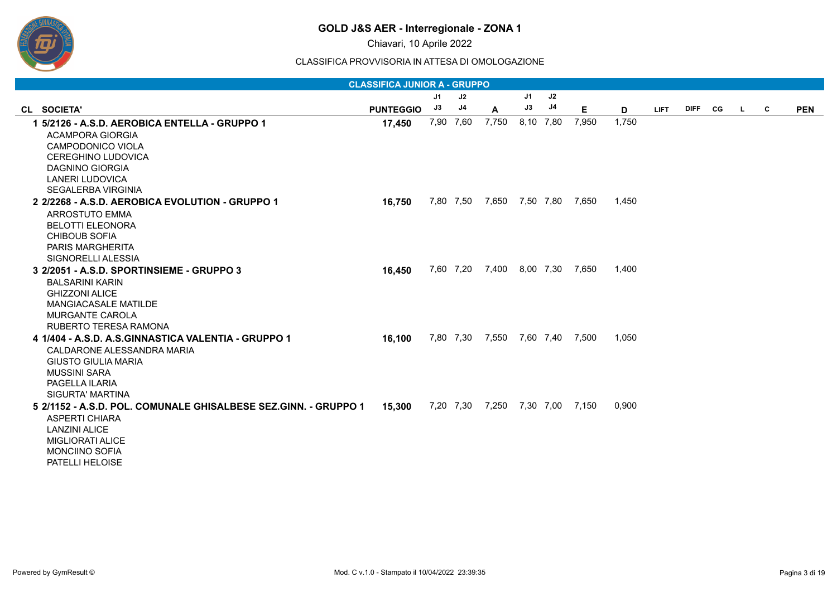

Chiavari, 10 Aprile 2022

|                                                                 | <b>CLASSIFICA JUNIOR A - GRUPPO</b> |                |           |                                 |    |           |       |       |             |           |              |            |
|-----------------------------------------------------------------|-------------------------------------|----------------|-----------|---------------------------------|----|-----------|-------|-------|-------------|-----------|--------------|------------|
|                                                                 |                                     | J <sub>1</sub> | J2        |                                 | J1 | J2        |       |       |             |           |              |            |
| CL SOCIETA'                                                     | <b>PUNTEGGIO</b>                    | J3             | J4        | A                               | J3 | J4        | Е     | D     | <b>LIFT</b> | DIFF CG L | $\mathbf{C}$ | <b>PEN</b> |
| 1 5/2126 - A.S.D. AEROBICA ENTELLA - GRUPPO 1                   | 17,450                              |                | 7,90 7,60 | 7,750                           |    | 8,10 7,80 | 7,950 | 1,750 |             |           |              |            |
| <b>ACAMPORA GIORGIA</b>                                         |                                     |                |           |                                 |    |           |       |       |             |           |              |            |
| CAMPODONICO VIOLA                                               |                                     |                |           |                                 |    |           |       |       |             |           |              |            |
| <b>CEREGHINO LUDOVICA</b>                                       |                                     |                |           |                                 |    |           |       |       |             |           |              |            |
| DAGNINO GIORGIA                                                 |                                     |                |           |                                 |    |           |       |       |             |           |              |            |
| LANERI LUDOVICA                                                 |                                     |                |           |                                 |    |           |       |       |             |           |              |            |
| SEGALERBA VIRGINIA                                              |                                     |                |           |                                 |    |           |       |       |             |           |              |            |
| 2 2/2268 - A.S.D. AEROBICA EVOLUTION - GRUPPO 1                 | 16,750                              |                |           | 7,80 7,50 7,650 7,50 7,80 7,650 |    |           |       | 1,450 |             |           |              |            |
| <b>ARROSTUTO EMMA</b>                                           |                                     |                |           |                                 |    |           |       |       |             |           |              |            |
| <b>BELOTTI ELEONORA</b>                                         |                                     |                |           |                                 |    |           |       |       |             |           |              |            |
| <b>CHIBOUB SOFIA</b>                                            |                                     |                |           |                                 |    |           |       |       |             |           |              |            |
| PARIS MARGHERITA                                                |                                     |                |           |                                 |    |           |       |       |             |           |              |            |
| SIGNORELLI ALESSIA                                              |                                     |                |           |                                 |    |           |       |       |             |           |              |            |
| 3 2/2051 - A.S.D. SPORTINSIEME - GRUPPO 3                       | 16,450                              |                |           | 7,60 7,20 7,400 8,00 7,30       |    |           | 7,650 | 1,400 |             |           |              |            |
| <b>BALSARINI KARIN</b>                                          |                                     |                |           |                                 |    |           |       |       |             |           |              |            |
| <b>GHIZZONI ALICE</b>                                           |                                     |                |           |                                 |    |           |       |       |             |           |              |            |
| <b>MANGIACASALE MATILDE</b>                                     |                                     |                |           |                                 |    |           |       |       |             |           |              |            |
| <b>MURGANTE CAROLA</b>                                          |                                     |                |           |                                 |    |           |       |       |             |           |              |            |
| RUBERTO TERESA RAMONA                                           |                                     |                |           |                                 |    |           |       |       |             |           |              |            |
| 4 1/404 - A.S.D. A.S.GINNASTICA VALENTIA - GRUPPO 1             | 16,100                              |                |           | 7,80 7,30 7,550 7,60 7,40 7,500 |    |           |       | 1,050 |             |           |              |            |
| CALDARONE ALESSANDRA MARIA                                      |                                     |                |           |                                 |    |           |       |       |             |           |              |            |
| <b>GIUSTO GIULIA MARIA</b>                                      |                                     |                |           |                                 |    |           |       |       |             |           |              |            |
| <b>MUSSINI SARA</b>                                             |                                     |                |           |                                 |    |           |       |       |             |           |              |            |
| PAGELLA ILARIA                                                  |                                     |                |           |                                 |    |           |       |       |             |           |              |            |
| SIGURTA' MARTINA                                                |                                     |                |           |                                 |    |           |       |       |             |           |              |            |
| 5 2/1152 - A.S.D. POL. COMUNALE GHISALBESE SEZ.GINN. - GRUPPO 1 | 15,300                              |                |           | 7,20 7,30 7,250 7,30 7,00 7,150 |    |           |       | 0,900 |             |           |              |            |
| ASPERTI CHIARA                                                  |                                     |                |           |                                 |    |           |       |       |             |           |              |            |
| <b>LANZINI ALICE</b>                                            |                                     |                |           |                                 |    |           |       |       |             |           |              |            |
| <b>MIGLIORATI ALICE</b>                                         |                                     |                |           |                                 |    |           |       |       |             |           |              |            |
| <b>MONCIINO SOFIA</b>                                           |                                     |                |           |                                 |    |           |       |       |             |           |              |            |
| <b>PATELLI HELOISE</b>                                          |                                     |                |           |                                 |    |           |       |       |             |           |              |            |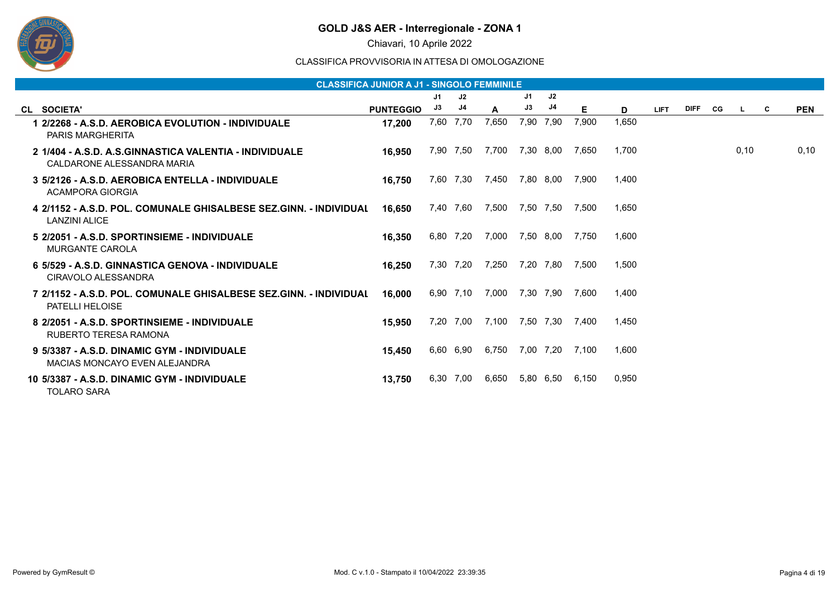

Chiavari, 10 Aprile 2022

|                                                                                             | <b>CLASSIFICA JUNIOR A J1 - SINGOLO FEMMINILE</b> |      |           |       |    |           |       |       |             |             |    |      |   |            |
|---------------------------------------------------------------------------------------------|---------------------------------------------------|------|-----------|-------|----|-----------|-------|-------|-------------|-------------|----|------|---|------------|
|                                                                                             |                                                   | J1   | J2        |       | J1 | J2        |       |       |             |             |    |      |   |            |
| CL SOCIETA'                                                                                 | <b>PUNTEGGIO</b>                                  | J3   | J4        | A     | J3 | J4        | Е     | D     | <b>LIFT</b> | <b>DIFF</b> | CG | L.   | C | <b>PEN</b> |
| 1 2/2268 - A.S.D. AEROBICA EVOLUTION - INDIVIDUALE<br><b>PARIS MARGHERITA</b>               | 17.200                                            | 7,60 | 7,70      | 7,650 |    | 7,90 7,90 | 7,900 | 1,650 |             |             |    |      |   |            |
| 2 1/404 - A.S.D. A.S.GINNASTICA VALENTIA - INDIVIDUALE<br>CALDARONE ALESSANDRA MARIA        | 16,950                                            |      | 7,90 7,50 | 7,700 |    | 7,30 8,00 | 7.650 | 1,700 |             |             |    | 0,10 |   | 0,10       |
| 3 5/2126 - A.S.D. AEROBICA ENTELLA - INDIVIDUALE<br>ACAMPORA GIORGIA                        | 16.750                                            |      | 7,60 7,30 | 7,450 |    | 7,80 8,00 | 7,900 | 1.400 |             |             |    |      |   |            |
| 4 2/1152 - A.S.D. POL. COMUNALE GHISALBESE SEZ.GINN. - INDIVIDUAL<br><b>LANZINI ALICE</b>   | 16.650                                            |      | 7,40 7,60 | 7,500 |    | 7,50 7,50 | 7,500 | 1,650 |             |             |    |      |   |            |
| 5 2/2051 - A.S.D. SPORTINSIEME - INDIVIDUALE<br><b>MURGANTE CAROLA</b>                      | 16.350                                            |      | 6,80 7,20 | 7,000 |    | 7,50 8,00 | 7.750 | 1,600 |             |             |    |      |   |            |
| 6 5/529 - A.S.D. GINNASTICA GENOVA - INDIVIDUALE<br>CIRAVOLO ALESSANDRA                     | 16,250                                            |      | 7,30 7,20 | 7,250 |    | 7,20 7,80 | 7,500 | 1.500 |             |             |    |      |   |            |
| 7 2/1152 - A.S.D. POL. COMUNALE GHISALBESE SEZ.GINN. - INDIVIDUAL<br><b>PATELLI HELOISE</b> | 16.000                                            |      | 6,90 7,10 | 7,000 |    | 7,30 7,90 | 7.600 | 1.400 |             |             |    |      |   |            |
| 8 2/2051 - A.S.D. SPORTINSIEME - INDIVIDUALE<br>RUBERTO TERESA RAMONA                       | 15,950                                            |      | 7,20 7,00 | 7,100 |    | 7,50 7,30 | 7,400 | 1,450 |             |             |    |      |   |            |
| 9 5/3387 - A.S.D. DINAMIC GYM - INDIVIDUALE<br>MACIAS MONCAYO EVEN ALEJANDRA                | 15,450                                            |      | 6,60 6,90 | 6,750 |    | 7,00 7,20 | 7.100 | 1,600 |             |             |    |      |   |            |
| 10 5/3387 - A.S.D. DINAMIC GYM - INDIVIDUALE<br><b>TOLARO SARA</b>                          | 13,750                                            | 6,30 | 7,00      | 6,650 |    | 5,80 6,50 | 6,150 | 0,950 |             |             |    |      |   |            |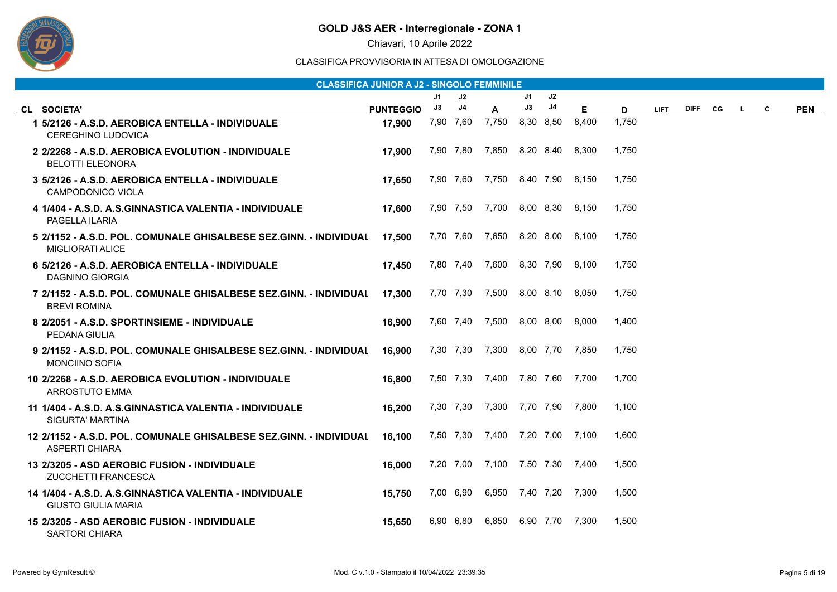

Chiavari, 10 Aprile 2022

|                                                                                              | <b>CLASSIFICA JUNIOR A J2 - SINGOLO FEMMINILE</b> |    |           |                                 |    |           |       |       |             |      |    |    |   |            |
|----------------------------------------------------------------------------------------------|---------------------------------------------------|----|-----------|---------------------------------|----|-----------|-------|-------|-------------|------|----|----|---|------------|
|                                                                                              |                                                   | J1 | J2        |                                 | J1 | J2        |       |       |             |      |    |    |   |            |
| CL SOCIETA'                                                                                  | <b>PUNTEGGIO</b>                                  | J3 | J4        | $\mathsf{A}$                    | J3 | J4        | E.    | D     | <b>LIFT</b> | DIFF | CG | L. | C | <b>PEN</b> |
| 1 5/2126 - A.S.D. AEROBICA ENTELLA - INDIVIDUALE<br><b>CEREGHINO LUDOVICA</b>                | 17,900                                            |    | 7,90 7,60 | 7,750                           |    | 8,30 8,50 | 8,400 | 1,750 |             |      |    |    |   |            |
| 2 2/2268 - A.S.D. AEROBICA EVOLUTION - INDIVIDUALE<br><b>BELOTTI ELEONORA</b>                | 17,900                                            |    |           | 7,90 7,80 7,850 8,20 8,40       |    |           | 8,300 | 1,750 |             |      |    |    |   |            |
| 3 5/2126 - A.S.D. AEROBICA ENTELLA - INDIVIDUALE<br>CAMPODONICO VIOLA                        | 17,650                                            |    |           | 7,90 7,60 7,750 8,40 7,90 8,150 |    |           |       | 1,750 |             |      |    |    |   |            |
| <u> 4 1/404 - A.S.D. A.S.GINNASTICA VALENTIA - INDIVIDUALE</u><br>PAGELLA ILARIA             | 17,600                                            |    |           | 7,90 7,50 7,700 8,00 8,30 8,150 |    |           |       | 1,750 |             |      |    |    |   |            |
| 5 2/1152 - A.S.D. POL. COMUNALE GHISALBESE SEZ.GINN. - INDIVIDUAL<br><b>MIGLIORATI ALICE</b> | 17,500                                            |    |           | 7,70 7,60 7,650 8,20 8,00 8,100 |    |           |       | 1,750 |             |      |    |    |   |            |
| 6 5/2126 - A.S.D. AEROBICA ENTELLA - INDIVIDUALE<br>DAGNINO GIORGIA                          | 17,450                                            |    |           | 7,80 7,40 7,600                 |    | 8,30 7,90 | 8,100 | 1,750 |             |      |    |    |   |            |
| 7 2/1152 - A.S.D. POL. COMUNALE GHISALBESE SEZ.GINN. - INDIVIDUAL<br><b>BREVI ROMINA</b>     | 17,300                                            |    |           | 7,70 7,30 7,500 8,00 8,10 8,050 |    |           |       | 1.750 |             |      |    |    |   |            |
| 8 2/2051 - A.S.D. SPORTINSIEME - INDIVIDUALE<br>PEDANA GIULIA                                | 16,900                                            |    |           | 7,60 7,40 7,500 8,00 8,00       |    |           | 8,000 | 1,400 |             |      |    |    |   |            |
| 9 2/1152 - A.S.D. POL. COMUNALE GHISALBESE SEZ.GINN. - INDIVIDUAL<br><b>MONCIINO SOFIA</b>   | 16,900                                            |    |           | 7,30 7,30 7,300 8,00 7,70 7,850 |    |           |       | 1,750 |             |      |    |    |   |            |
| 10 2/2268 - A.S.D. AEROBICA EVOLUTION - INDIVIDUALE<br><b>ARROSTUTO EMMA</b>                 | 16,800                                            |    |           | 7,50 7,30 7,400 7,80 7,60 7,700 |    |           |       | 1,700 |             |      |    |    |   |            |
| 11 1/404 - A.S.D. A.S.GINNASTICA VALENTIA - INDIVIDUALE<br><b>SIGURTA' MARTINA</b>           | 16,200                                            |    |           | 7,30 7,30 7,300 7,70 7,90 7,800 |    |           |       | 1,100 |             |      |    |    |   |            |
| 12 2/1152 - A.S.D. POL. COMUNALE GHISALBESE SEZ.GINN. - INDIVIDUAL<br><b>ASPERTI CHIARA</b>  | 16,100                                            |    |           | 7,50 7,30 7,400 7,20 7,00 7,100 |    |           |       | 1,600 |             |      |    |    |   |            |
| 13 2/3205 - ASD AEROBIC FUSION - INDIVIDUALE<br>ZUCCHETTI FRANCESCA                          | 16,000                                            |    |           | 7,20 7,00 7,100 7,50 7,30 7,400 |    |           |       | 1,500 |             |      |    |    |   |            |
| 14 1/404 - A.S.D. A.S.GINNASTICA VALENTIA - INDIVIDUALE<br><b>GIUSTO GIULIA MARIA</b>        | 15,750                                            |    | 7,00 6,90 | 6,950 7,40 7,20 7,300           |    |           |       | 1,500 |             |      |    |    |   |            |
| 15 2/3205 - ASD AEROBIC FUSION - INDIVIDUALE<br><b>SARTORI CHIARA</b>                        | 15.650                                            |    | 6,90 6,80 | 6,850 6,90 7,70 7,300           |    |           |       | 1.500 |             |      |    |    |   |            |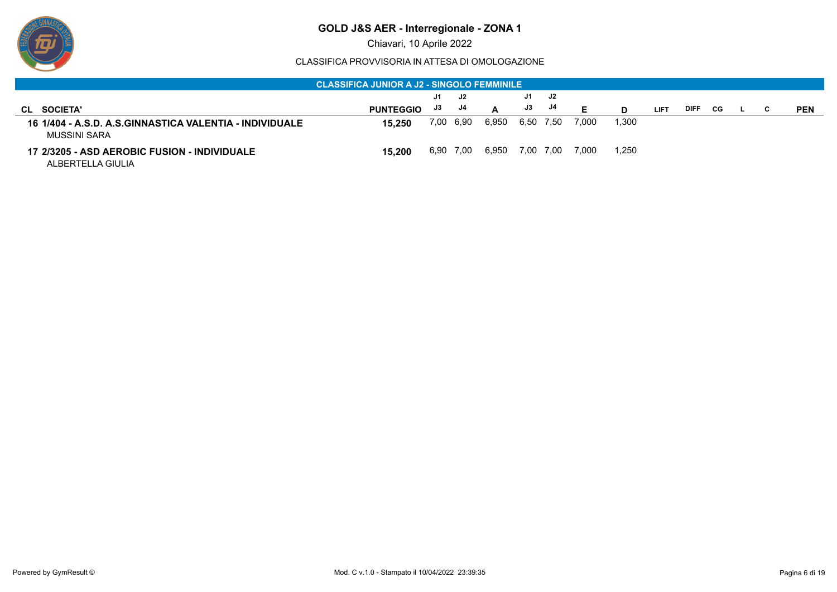

Chiavari, 10 Aprile 2022

|                                                                          | <b>CLASSIFICA JUNIOR A J2 - SINGOLO FEMMINILE</b> |     |           |       |    |           |       |       |             |             |    |   |            |
|--------------------------------------------------------------------------|---------------------------------------------------|-----|-----------|-------|----|-----------|-------|-------|-------------|-------------|----|---|------------|
|                                                                          |                                                   | J1. | J2        |       | J1 | J2        |       |       |             |             |    |   |            |
| <b>SOCIETA'</b><br>CL                                                    | <b>PUNTEGGIO</b>                                  | J3  | J4        |       | J3 | J4        |       |       | <b>LIFT</b> | <b>DIFF</b> | CG | C | <b>PEN</b> |
| 16 1/404 - A.S.D. A.S.GINNASTICA VALENTIA - INDIVIDUALE<br>MUSSINI SARA  | 15.250                                            |     | 7,00 6,90 | 6,950 |    | 6,50 7,50 | 7,000 | 1,300 |             |             |    |   |            |
| <b>17 2/3205 - ASD AEROBIC FUSION - INDIVIDUALE</b><br>ALBERTELLA GIULIA | 15.200                                            |     | 6,90 7,00 | 6,950 |    | 7,00 7,00 | 7,000 | 1,250 |             |             |    |   |            |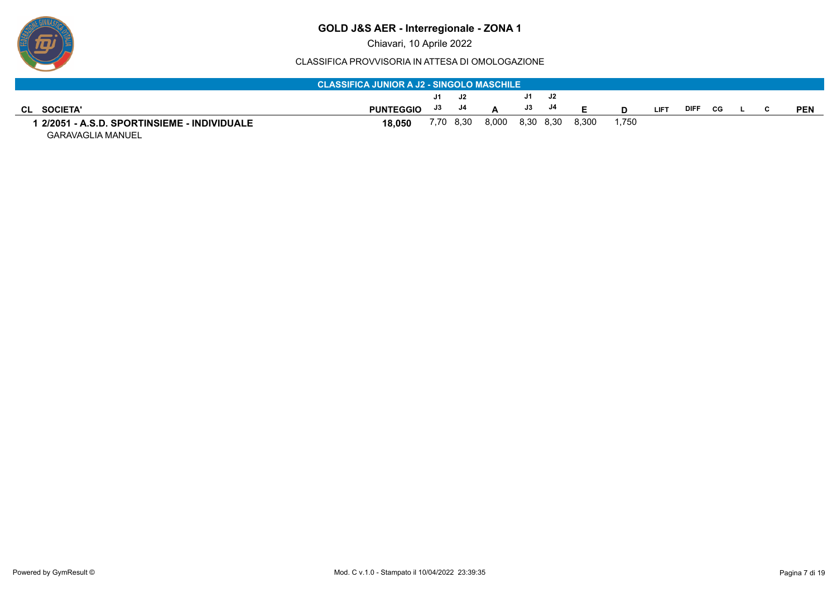

Chiavari, 10 Aprile 2022

#### CLASSIFICA PROVVISORIA IN ATTESA DI OMOLOGAZIONE

|                                            | <b>CLASSIFICA JUNIOR A J2 - SINGOLO MASCHILE</b> |      |    |                           |       |       |       |             |             |           |  |            |
|--------------------------------------------|--------------------------------------------------|------|----|---------------------------|-------|-------|-------|-------------|-------------|-----------|--|------------|
|                                            |                                                  | J1 . | J2 |                           | J1 J2 |       |       |             |             |           |  |            |
| CL SOCIETA'                                | PUNTEGGIO J3 J4                                  |      |    |                           | J3 J4 | - 6   |       | <b>LIFT</b> | <b>DIFF</b> | <b>CG</b> |  | <b>PEN</b> |
| 2/2051 - A.S.D. SPORTINSIEME - INDIVIDUALE | 18.050                                           |      |    | 7,70 8,30 8,000 8,30 8,30 |       | 8,300 | 1,750 |             |             |           |  |            |

GARAVAGLIA MANUEL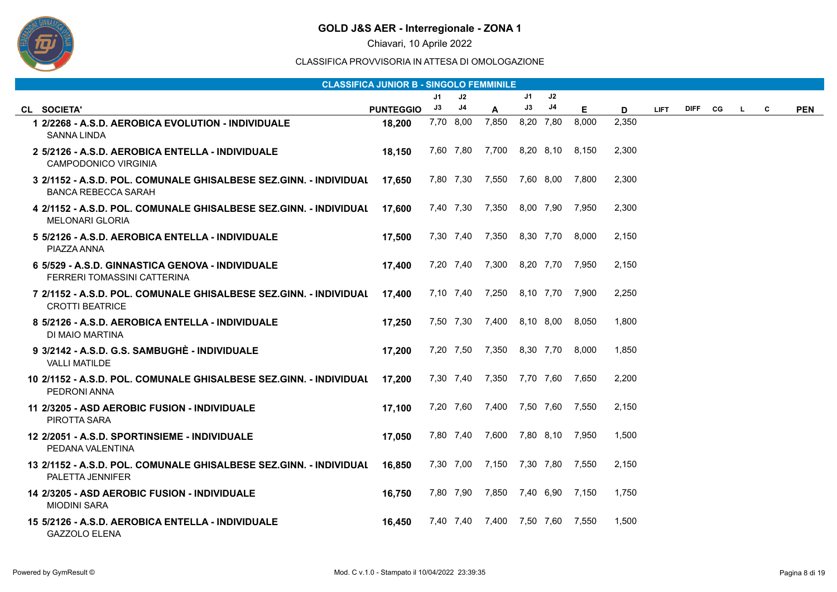

Chiavari, 10 Aprile 2022

|                                                                                                 | <b>CLASSIFICA JUNIOR B - SINGOLO FEMMINILE</b> |    |               |                                 |    |               |                 |       |             |             |    |   |   |            |
|-------------------------------------------------------------------------------------------------|------------------------------------------------|----|---------------|---------------------------------|----|---------------|-----------------|-------|-------------|-------------|----|---|---|------------|
|                                                                                                 |                                                | J1 | J2            |                                 | J1 | $\mathsf{J}2$ |                 |       |             |             |    |   |   |            |
| CL SOCIETA'                                                                                     | <b>PUNTEGGIO</b>                               | J3 | $\mathsf{J}4$ | A                               | J3 | J4            | Е               | D     | <b>LIFT</b> | <b>DIFF</b> | CG | L | C | <b>PEN</b> |
| 1 2/2268 - A.S.D. AEROBICA EVOLUTION - INDIVIDUALE<br><b>SANNA LINDA</b>                        | 18,200                                         |    | 7,70 8,00     | 7,850                           |    | 8,20 7,80     | 8,000           | 2,350 |             |             |    |   |   |            |
| 2 5/2126 - A.S.D. AEROBICA ENTELLA - INDIVIDUALE<br><b>CAMPODONICO VIRGINIA</b>                 | 18,150                                         |    |               | 7,60 7,80 7,700 8,20 8,10 8,150 |    |               |                 | 2,300 |             |             |    |   |   |            |
| 3 2/1152 - A.S.D. POL. COMUNALE GHISALBESE SEZ.GINN. - INDIVIDUAL<br><b>BANCA REBECCA SARAH</b> | 17,650                                         |    |               | 7,80 7,30 7,550 7,60 8,00 7,800 |    |               |                 | 2,300 |             |             |    |   |   |            |
| 4 2/1152 - A.S.D. POL. COMUNALE GHISALBESE SEZ.GINN. - INDIVIDUAL<br><b>MELONARI GLORIA</b>     | 17,600                                         |    |               | 7,40 7,30 7,350                 |    |               | 8,00 7,90 7,950 | 2,300 |             |             |    |   |   |            |
| 5 5/2126 - A.S.D. AEROBICA ENTELLA - INDIVIDUALE<br>PIAZZA ANNA                                 | 17.500                                         |    |               | 7,30 7,40 7,350 8,30 7,70       |    |               | 8,000           | 2,150 |             |             |    |   |   |            |
| 6 5/529 - A.S.D. GINNASTICA GENOVA - INDIVIDUALE<br>FERRERI TOMASSINI CATTERINA                 | 17,400                                         |    | 7,20 7,40     | 7,300                           |    |               | 8,20 7,70 7,950 | 2,150 |             |             |    |   |   |            |
| 7 2/1152 - A.S.D. POL. COMUNALE GHISALBESE SEZ.GINN. - INDIVIDUAL<br><b>CROTTI BEATRICE</b>     | 17,400                                         |    |               | 7,10 7,40 7,250 8,10 7,70 7,900 |    |               |                 | 2,250 |             |             |    |   |   |            |
| 8 5/2126 - A.S.D. AEROBICA ENTELLA - INDIVIDUALE<br>DI MAIO MARTINA                             | 17,250                                         |    |               | 7,50 7,30 7,400 8,10 8,00       |    |               | 8,050           | 1,800 |             |             |    |   |   |            |
| 9 3/2142 - A.S.D. G.S. SAMBUGHÈ - INDIVIDUALE<br><b>VALLI MATILDE</b>                           | 17,200                                         |    | 7,20 7,50     | 7,350                           |    | 8,30 7,70     | 8,000           | 1,850 |             |             |    |   |   |            |
| 10 2/1152 - A.S.D. POL. COMUNALE GHISALBESE SEZ.GINN. - INDIVIDUAL<br>PEDRONI ANNA              | 17,200                                         |    |               | 7,30 7,40 7,350 7,70 7,60 7,650 |    |               |                 | 2,200 |             |             |    |   |   |            |
| 11 2/3205 - ASD AEROBIC FUSION - INDIVIDUALE<br>PIROTTA SARA                                    | 17,100                                         |    |               | 7,20 7,60 7,400 7,50 7,60 7,550 |    |               |                 | 2,150 |             |             |    |   |   |            |
| 12 2/2051 - A.S.D. SPORTINSIEME - INDIVIDUALE<br>PEDANA VALENTINA                               | 17,050                                         |    |               | 7,80 7,40 7,600 7,80 8,10 7,950 |    |               |                 | 1,500 |             |             |    |   |   |            |
| 13 2/1152 - A.S.D. POL. COMUNALE GHISALBESE SEZ.GINN. - INDIVIDUAL<br>PALETTA JENNIFER          | 16,850                                         |    |               | 7,30 7,00 7,150 7,30 7,80 7,550 |    |               |                 | 2,150 |             |             |    |   |   |            |
| 14 2/3205 - ASD AEROBIC FUSION - INDIVIDUALE<br><b>MIODINI SARA</b>                             | 16.750                                         |    |               | 7,80 7,90 7,850 7,40 6,90 7,150 |    |               |                 | 1.750 |             |             |    |   |   |            |
| 15 5/2126 - A.S.D. AEROBICA ENTELLA - INDIVIDUALE<br><b>GAZZOLO ELENA</b>                       | 16,450                                         |    |               | 7,40 7,40 7,400 7,50 7,60 7,550 |    |               |                 | 1,500 |             |             |    |   |   |            |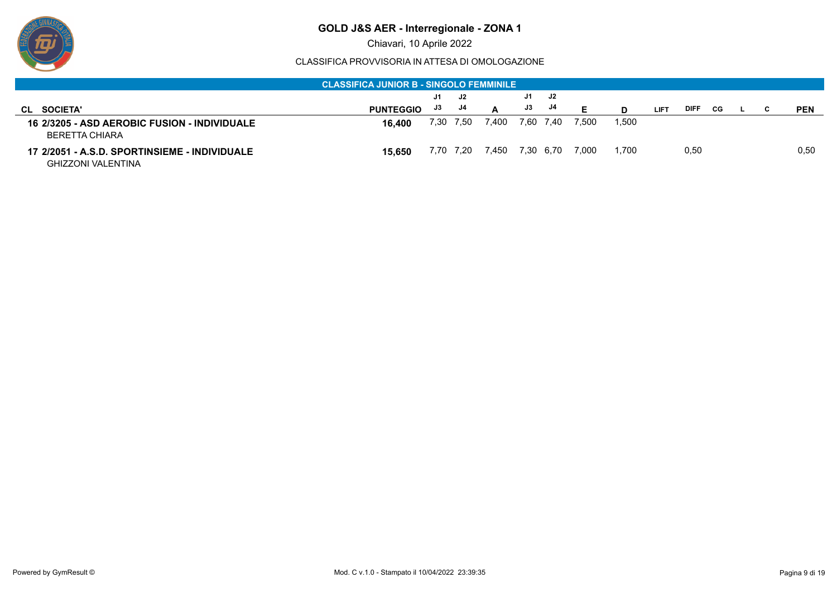

Chiavari, 10 Aprile 2022

|                                                                       | <b>CLASSIFICA JUNIOR B - SINGOLO FEMMINILE</b> |    |           |       |    |           |       |       |             |             |     |  |            |
|-----------------------------------------------------------------------|------------------------------------------------|----|-----------|-------|----|-----------|-------|-------|-------------|-------------|-----|--|------------|
|                                                                       |                                                | J1 | J2        |       | J1 | J2        |       |       |             |             |     |  |            |
| CL SOCIETA'                                                           | <b>PUNTEGGIO</b>                               | J3 | J4        | A     | J3 | - J4      |       |       | <b>LIFT</b> | <b>DIFF</b> | CG. |  | <b>PEN</b> |
| <b>16 2/3205 - ASD AEROBIC FUSION - INDIVIDUALE</b><br>BERETTA CHIARA | 16.400                                         |    | 7,30 7,50 | 7,400 |    | 7,60 7,40 | 7,500 | 1,500 |             |             |     |  |            |
| <b>GHIZZONI VALENTINA</b>                                             | 15.650                                         |    | 7,70 7,20 | 7,450 |    | 7,30 6,70 | 7,000 | 1.700 |             | 0,50        |     |  | 0,50       |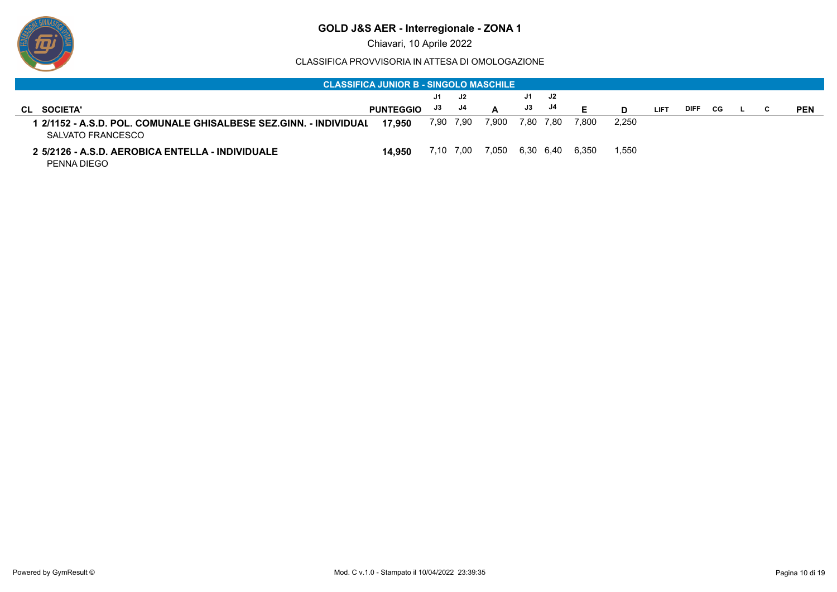

Chiavari, 10 Aprile 2022

|                                                                                          | <b>CLASSIFICA JUNIOR B - SINGOLO MASCHILE</b> |      |           |       |     |           |       |       |             |             |    |  |            |
|------------------------------------------------------------------------------------------|-----------------------------------------------|------|-----------|-------|-----|-----------|-------|-------|-------------|-------------|----|--|------------|
|                                                                                          |                                               | J1.  | J2        |       | J1. | J2        |       |       |             |             |    |  |            |
| <b>SOCIETA'</b><br>CL                                                                    | <b>PUNTEGGIO</b>                              | J3   | J4        | A     | J3  | - J4      |       |       | <b>LIFT</b> | <b>DIFF</b> | CG |  | <b>PEN</b> |
| 1   2/1152 - A.S.D. POL. COMUNALE GHISALBESE SEZ.GINN. - INDIVIDUAL<br>SALVATO FRANCESCO | 17.950                                        |      | 7,90 7,90 | 7,900 |     | 7,80 7,80 | 7,800 | 2.250 |             |             |    |  |            |
| 2 5/2126 - A.S.D. AEROBICA ENTELLA - INDIVIDUALE<br>PENNA DIEGO                          | 14.950                                        | 7.10 | 7.00      | 7.050 |     | 6.30 6.40 | 6.350 | 1,550 |             |             |    |  |            |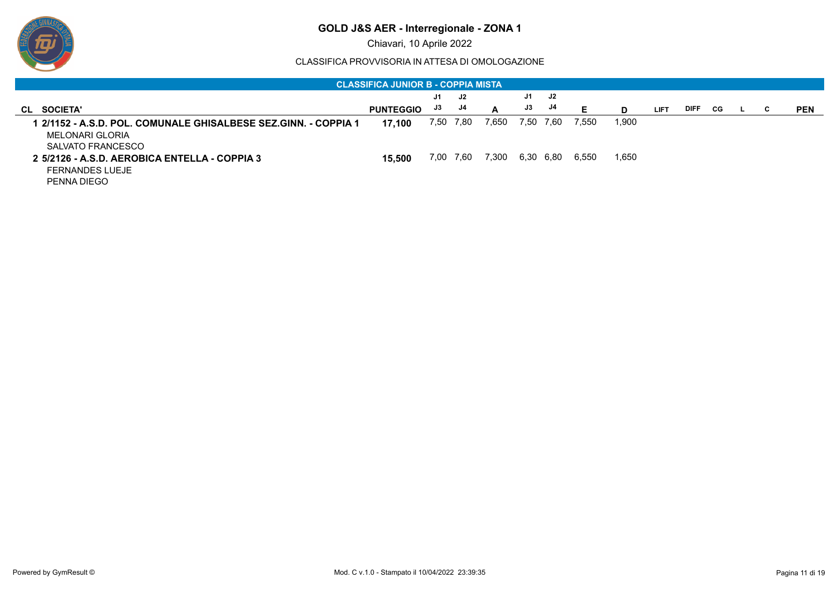

Chiavari, 10 Aprile 2022

|                                                                                                         | <b>CLASSIFICA JUNIOR B - COPPIA MISTA '</b> |      |      |       |           |           |       |       |             |             |     |   |            |
|---------------------------------------------------------------------------------------------------------|---------------------------------------------|------|------|-------|-----------|-----------|-------|-------|-------------|-------------|-----|---|------------|
|                                                                                                         |                                             | J1   | J2   |       | J1        | J2        |       |       |             |             |     |   |            |
| <b>SOCIETA'</b><br>CL                                                                                   | <b>PUNTEGGIO</b>                            | J3   | J4   | A     | J3        | J4        | Е     | D     | <b>LIFT</b> | <b>DIFF</b> | CG. | C | <b>PEN</b> |
| l 2/1152 - A.S.D. POL. COMUNALE GHISALBESE SEZ.GINN. - COPPIA 1<br>MELONARI GLORIA<br>SALVATO FRANCESCO | 17.100                                      | 7,50 | 7,80 | 5650, |           | 7,50 7,60 | 7,550 | 1,900 |             |             |     |   |            |
| 2 5/2126 - A.S.D. AEROBICA ENTELLA - COPPIA 3<br><b>FERNANDES LUEJE</b><br>PENNA DIEGO                  | 15.500                                      | 7.00 | 7,60 | 7,300 | 6,30 6,80 |           | 6,550 | 1,650 |             |             |     |   |            |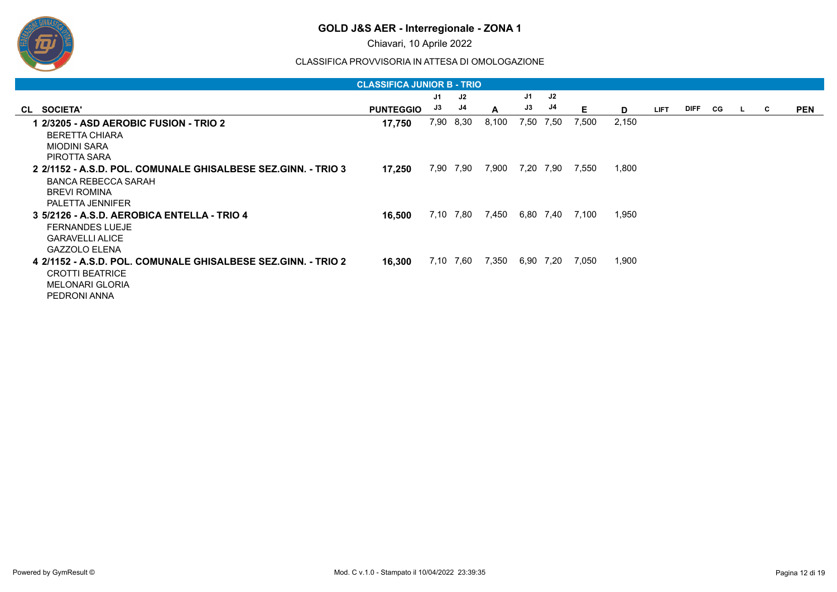

Chiavari, 10 Aprile 2022

|                                                                                                                                        | <b>CLASSIFICA JUNIOR B - TRIO</b> |      |           |       |      |           |       |       |             |             |     |    |   |            |
|----------------------------------------------------------------------------------------------------------------------------------------|-----------------------------------|------|-----------|-------|------|-----------|-------|-------|-------------|-------------|-----|----|---|------------|
|                                                                                                                                        |                                   | J1   | J2        |       | J1   | J2        |       |       |             |             |     |    |   |            |
| CL SOCIETA'                                                                                                                            | <b>PUNTEGGIO</b>                  | J3   | J4        | A     | J3   | J4        | Е     | D     | <b>LIFT</b> | <b>DIFF</b> | CG. | ъ. | C | <b>PEN</b> |
| 1 2/3205 - ASD AEROBIC FUSION - TRIO 2<br><b>BERETTA CHIARA</b>                                                                        | 17,750                            | 7,90 | 8,30      | 8,100 | 7,50 | 7,50      | 7,500 | 2,150 |             |             |     |    |   |            |
| <b>MIODINI SARA</b><br>PIROTTA SARA                                                                                                    |                                   |      |           |       |      |           |       |       |             |             |     |    |   |            |
| 2 2/1152 - A.S.D. POL. COMUNALE GHISALBESE SEZ.GINN. - TRIO 3<br><b>BANCA REBECCA SARAH</b><br><b>BREVI ROMINA</b><br>PALETTA JENNIFER | 17,250                            | 7,90 | 7,90      | 7,900 | 7,20 | 7.90      | 7,550 | 1,800 |             |             |     |    |   |            |
| 3 5/2126 - A.S.D. AEROBICA ENTELLA - TRIO 4<br><b>FERNANDES LUEJE</b><br><b>GARAVELLI ALICE</b><br><b>GAZZOLO ELENA</b>                | 16,500                            | 7.10 | 7,80      | 7,450 |      | 6,80 7,40 | 7,100 | 1,950 |             |             |     |    |   |            |
| 4 2/1152 - A.S.D. POL. COMUNALE GHISALBESE SEZ.GINN. - TRIO 2<br><b>CROTTI BEATRICE</b><br><b>MELONARI GLORIA</b><br>PEDRONI ANNA      | 16,300                            |      | 7,10 7,60 | 7,350 |      | 6,90 7,20 | 7,050 | 1,900 |             |             |     |    |   |            |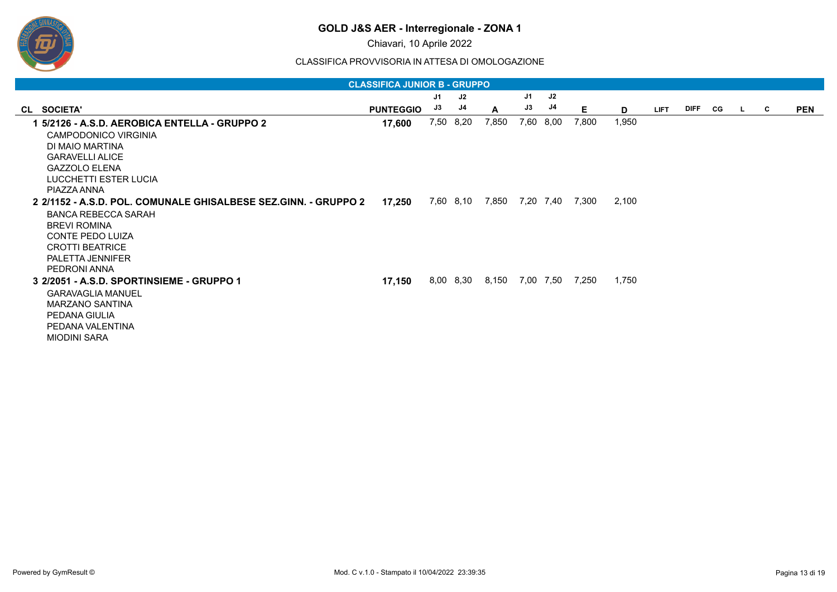

Chiavari, 10 Aprile 2022

| <b>CLASSIFICA JUNIOR B - GRUPPO</b>                             |                  |    |           |       |      |           |                 |       |             |         |  |              |   |            |
|-----------------------------------------------------------------|------------------|----|-----------|-------|------|-----------|-----------------|-------|-------------|---------|--|--------------|---|------------|
|                                                                 |                  | J1 | J2        |       | J1   | J2        |                 |       |             |         |  |              |   |            |
| CL SOCIETA'                                                     | <b>PUNTEGGIO</b> | J3 | J4        | A     | J3   | J4        | E.              | D     | <b>LIFT</b> | DIFF CG |  | $\mathbf{L}$ | C | <b>PEN</b> |
| 1 5/2126 - A.S.D. AEROBICA ENTELLA - GRUPPO 2                   | 17,600           |    | 7,50 8,20 | 7,850 | 7,60 | 8,00      | 7,800           | 1,950 |             |         |  |              |   |            |
| CAMPODONICO VIRGINIA                                            |                  |    |           |       |      |           |                 |       |             |         |  |              |   |            |
| DI MAIO MARTINA                                                 |                  |    |           |       |      |           |                 |       |             |         |  |              |   |            |
| <b>GARAVELLI ALICE</b>                                          |                  |    |           |       |      |           |                 |       |             |         |  |              |   |            |
| <b>GAZZOLO ELENA</b>                                            |                  |    |           |       |      |           |                 |       |             |         |  |              |   |            |
| LUCCHETTI ESTER LUCIA                                           |                  |    |           |       |      |           |                 |       |             |         |  |              |   |            |
| PIAZZA ANNA                                                     |                  |    |           |       |      |           |                 |       |             |         |  |              |   |            |
| 2 2/1152 - A.S.D. POL. COMUNALE GHISALBESE SEZ.GINN. - GRUPPO 2 | 17,250           |    | 7,60 8,10 | 7,850 |      |           | 7,20 7,40 7,300 | 2,100 |             |         |  |              |   |            |
| <b>BANCA REBECCA SARAH</b>                                      |                  |    |           |       |      |           |                 |       |             |         |  |              |   |            |
| <b>BREVI ROMINA</b>                                             |                  |    |           |       |      |           |                 |       |             |         |  |              |   |            |
| <b>CONTE PEDO LUIZA</b>                                         |                  |    |           |       |      |           |                 |       |             |         |  |              |   |            |
| <b>CROTTI BEATRICE</b>                                          |                  |    |           |       |      |           |                 |       |             |         |  |              |   |            |
| PALETTA JENNIFER                                                |                  |    |           |       |      |           |                 |       |             |         |  |              |   |            |
| PEDRONI ANNA                                                    |                  |    |           |       |      |           |                 |       |             |         |  |              |   |            |
| 3 2/2051 - A.S.D. SPORTINSIEME - GRUPPO 1                       | 17,150           |    | 8,00 8,30 | 8,150 |      | 7,00 7,50 | 7,250           | 1,750 |             |         |  |              |   |            |
| <b>GARAVAGLIA MANUEL</b>                                        |                  |    |           |       |      |           |                 |       |             |         |  |              |   |            |
| <b>MARZANO SANTINA</b>                                          |                  |    |           |       |      |           |                 |       |             |         |  |              |   |            |
| PEDANA GIULIA                                                   |                  |    |           |       |      |           |                 |       |             |         |  |              |   |            |
| PEDANA VALENTINA                                                |                  |    |           |       |      |           |                 |       |             |         |  |              |   |            |
| <b>MIODINI SARA</b>                                             |                  |    |           |       |      |           |                 |       |             |         |  |              |   |            |
|                                                                 |                  |    |           |       |      |           |                 |       |             |         |  |              |   |            |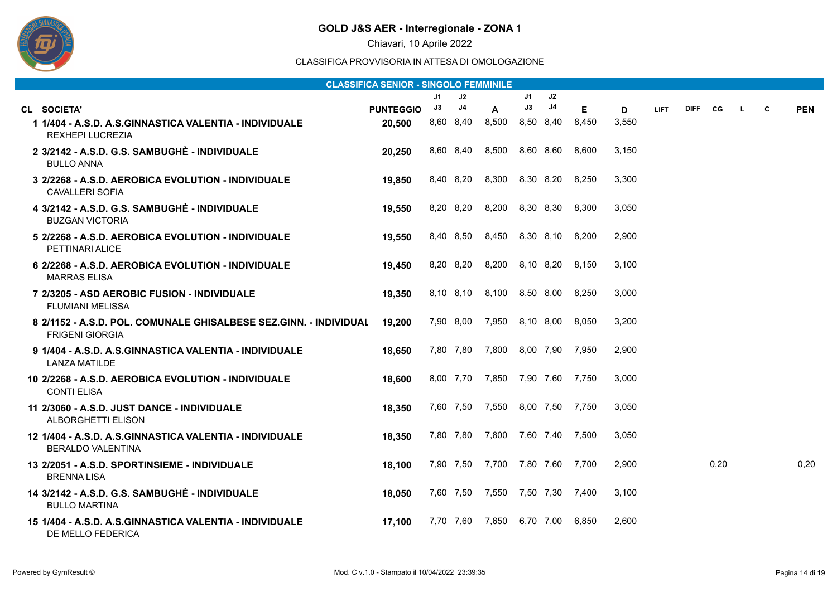

Chiavari, 10 Aprile 2022

| <b>CLASSIFICA SENIOR - SINGOLO FEMMINILE</b>                                                |                  |    |               |                                 |           |               |       |       |             |             |      |    |   |            |
|---------------------------------------------------------------------------------------------|------------------|----|---------------|---------------------------------|-----------|---------------|-------|-------|-------------|-------------|------|----|---|------------|
|                                                                                             |                  | J1 | J2            |                                 | J1        | $\mathsf{J}2$ |       |       |             |             |      |    |   |            |
| CL SOCIETA'                                                                                 | <b>PUNTEGGIO</b> | J3 | $\mathsf{J}4$ | A                               | J3        | J4            | E     | D     | <b>LIFT</b> | <b>DIFF</b> | CG   | L. | С | <b>PEN</b> |
| 1 1/404 - A.S.D. A.S.GINNASTICA VALENTIA - INDIVIDUALE<br><b>REXHEPI LUCREZIA</b>           | 20,500           |    | 8,60 8,40     | 8,500                           |           | 8,50 8,40     | 8,450 | 3,550 |             |             |      |    |   |            |
| 2 3/2142 - A.S.D. G.S. SAMBUGHÈ - INDIVIDUALE<br><b>BULLO ANNA</b>                          | 20.250           |    | 8,60 8,40     | 8,500                           |           | 8,60 8,60     | 8.600 | 3,150 |             |             |      |    |   |            |
| 3 2/2268 - A.S.D. AEROBICA EVOLUTION - INDIVIDUALE<br><b>CAVALLERI SOFIA</b>                | 19.850           |    | 8,40 8,20     | 8,300                           |           | 8,30 8,20     | 8,250 | 3,300 |             |             |      |    |   |            |
| 4 3/2142 - A.S.D. G.S. SAMBUGHÈ - INDIVIDUALE<br><b>BUZGAN VICTORIA</b>                     | 19,550           |    |               | 8,20 8,20 8,200 8,30 8,30 8,300 |           |               |       | 3,050 |             |             |      |    |   |            |
| 5 2/2268 - A.S.D. AEROBICA EVOLUTION - INDIVIDUALE<br>PETTINARI ALICE                       | 19,550           |    | 8,40 8,50     | 8,450 8,30 8,10 8,200           |           |               |       | 2,900 |             |             |      |    |   |            |
| 6 2/2268 - A.S.D. AEROBICA EVOLUTION - INDIVIDUALE<br><b>MARRAS ELISA</b>                   | 19,450           |    | 8,20 8,20     | 8,200                           |           | 8,10 8,20     | 8,150 | 3,100 |             |             |      |    |   |            |
| 7 2/3205 - ASD AEROBIC FUSION - INDIVIDUALE<br><b>FLUMIANI MELISSA</b>                      | 19,350           |    |               | 8,10 8,10 8,100 8,50 8,00 8,250 |           |               |       | 3,000 |             |             |      |    |   |            |
| 8 2/1152 - A.S.D. POL. COMUNALE GHISALBESE SEZ.GINN. - INDIVIDUAL<br><b>FRIGENI GIORGIA</b> | 19,200           |    |               | 7,90 8,00 7,950 8,10 8,00       |           |               | 8,050 | 3,200 |             |             |      |    |   |            |
| 9 1/404 - A.S.D. A.S.GINNASTICA VALENTIA - INDIVIDUALE<br><b>LANZA MATILDE</b>              | 18,650           |    |               | 7,80 7,80 7,800 8,00 7,90 7,950 |           |               |       | 2,900 |             |             |      |    |   |            |
| 10 2/2268 - A.S.D. AEROBICA EVOLUTION - INDIVIDUALE<br><b>CONTI ELISA</b>                   | 18,600           |    |               | 8,00 7,70 7,850 7,90 7,60 7,750 |           |               |       | 3,000 |             |             |      |    |   |            |
| 11 2/3060 - A.S.D. JUST DANCE - INDIVIDUALE<br>ALBORGHETTI ELISON                           | 18,350           |    |               | 7,60 7,50 7,550                 | 8,00 7,50 |               | 7,750 | 3,050 |             |             |      |    |   |            |
| 12 1/404 - A.S.D. A.S.GINNASTICA VALENTIA - INDIVIDUALE<br>BERALDO VALENTINA                | 18,350           |    |               | 7,80 7,80 7,800 7,60 7,40       |           |               | 7.500 | 3,050 |             |             |      |    |   |            |
| 13 2/2051 - A.S.D. SPORTINSIEME - INDIVIDUALE<br><b>BRENNALISA</b>                          | 18,100           |    |               | 7,90 7,50 7,700 7,80 7,60 7,700 |           |               |       | 2,900 |             |             | 0,20 |    |   | 0,20       |
| 14 3/2142 - A.S.D. G.S. SAMBUGHÈ - INDIVIDUALE<br><b>BULLO MARTINA</b>                      | 18,050           |    |               | 7,60 7,50 7,550 7,50 7,30 7,400 |           |               |       | 3,100 |             |             |      |    |   |            |
| 15 1/404 - A.S.D. A.S.GINNASTICA VALENTIA - INDIVIDUALE<br>DE MELLO FEDERICA                | 17,100           |    | 7,70 7,60     | 7,650                           | 6,70 7,00 |               | 6,850 | 2,600 |             |             |      |    |   |            |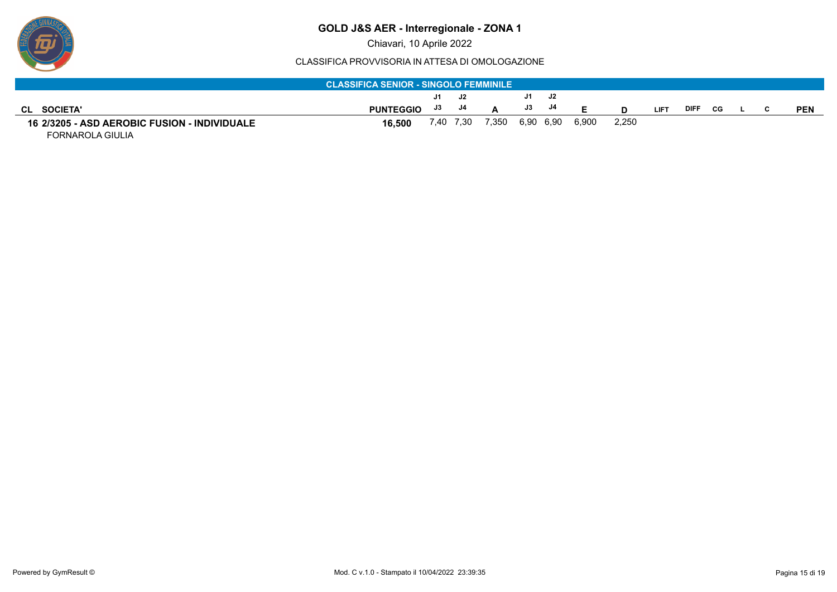

Chiavari, 10 Aprile 2022

#### CLASSIFICA PROVVISORIA IN ATTESA DI OMOLOGAZIONE

| <b>CLASSIFICA SENIOR - SINGOLO FEMMINILE</b>        |                  |       |  |                           |  |           |       |       |             |             |     |  |  |            |
|-----------------------------------------------------|------------------|-------|--|---------------------------|--|-----------|-------|-------|-------------|-------------|-----|--|--|------------|
|                                                     |                  | J1 J2 |  |                           |  | J1 J2     |       |       |             |             |     |  |  |            |
| <b>SOCIETA'</b><br>CL.                              | <b>PUNTEGGIO</b> | J3 J4 |  |                           |  | $J3$ $J4$ |       |       | <b>LIFT</b> | <b>DIFF</b> | CG. |  |  | <b>PEN</b> |
| <b>16 2/3205 - ASD AEROBIC FUSION - INDIVIDUALE</b> | 16.500           |       |  | 7,40 7,30 7,350 6,90 6,90 |  |           | 6.900 | 2,250 |             |             |     |  |  |            |

FORNAROLA GIULIA

ஒ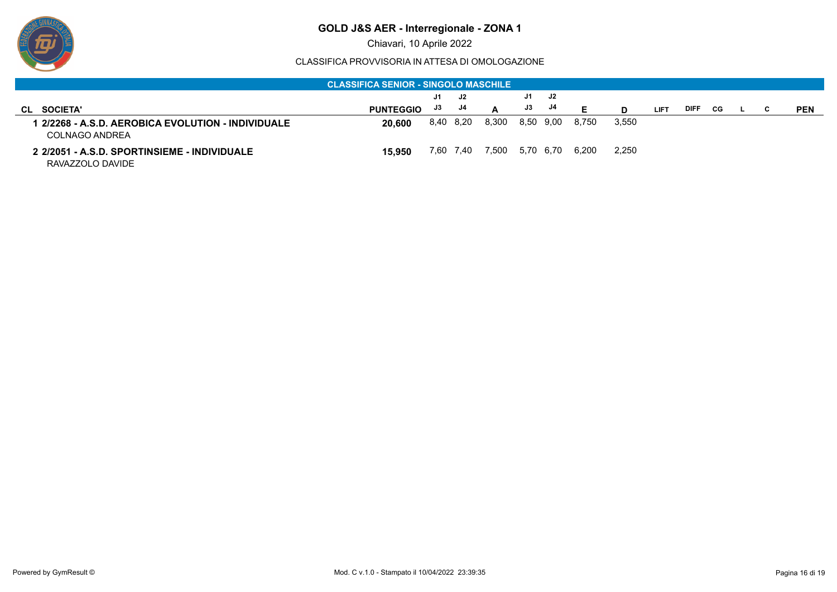

Chiavari, 10 Aprile 2022

| <b>CLASSIFICA SENIOR - SINGOLO MASCHILE</b>                        |                  |    |           |       |    |           |       |       |             |             |    |  |  |            |
|--------------------------------------------------------------------|------------------|----|-----------|-------|----|-----------|-------|-------|-------------|-------------|----|--|--|------------|
|                                                                    |                  | J1 | J2        |       | J1 | J2        |       |       |             |             |    |  |  |            |
| <b>SOCIETA'</b><br>CL                                              | <b>PUNTEGGIO</b> | J3 | J4        | A     | J3 | J4        |       |       | <b>LIFT</b> | <b>DIFF</b> | CG |  |  | <b>PEN</b> |
| 2/2268 - A.S.D. AEROBICA EVOLUTION - INDIVIDUALE<br>COLNAGO ANDREA | 20,600           |    | 8,40 8,20 | 8,300 |    | 8,50 9,00 | 8.750 | 3,550 |             |             |    |  |  |            |
| 2 2/2051 - A.S.D. SPORTINSIEME - INDIVIDUALE<br>RAVAZZOLO DAVIDE   | 15.950           |    | 7,60 7,40 | 7.500 |    | 5,70 6,70 | 6.200 | 2,250 |             |             |    |  |  |            |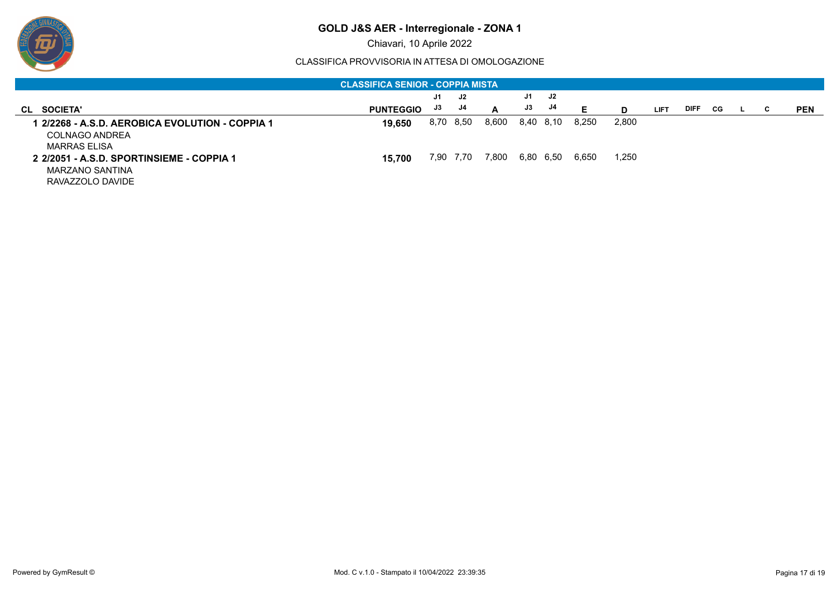

Chiavari, 10 Aprile 2022

| <b>CLASSIFICA SENIOR - COPPIA MISTA</b>                                                  |                  |      |           |       |           |    |       |       |             |             |    |    |   |            |
|------------------------------------------------------------------------------------------|------------------|------|-----------|-------|-----------|----|-------|-------|-------------|-------------|----|----|---|------------|
|                                                                                          |                  | J1   | J2        |       | J1        | J2 |       |       |             |             |    |    |   |            |
| <b>SOCIETA'</b><br>CL                                                                    | <b>PUNTEGGIO</b> | J3   | J4        | A     | J3        | J4 | Е     | D     | <b>LIFT</b> | <b>DIFF</b> | CG | ш. | C | <b>PEN</b> |
| 1 2/2268 - A.S.D. AEROBICA EVOLUTION - COPPIA 1<br><b>COLNAGO ANDREA</b><br>MARRAS ELISA | 19.650           | 8.70 | 8,50      | 8,600 | 8,40 8,10 |    | 8.250 | 2,800 |             |             |    |    |   |            |
| 2 2/2051 - A.S.D. SPORTINSIEME - COPPIA 1<br>MARZANO SANTINA<br>RAVAZZOLO DAVIDE         | 15.700           |      | 7,90 7,70 | 7,800 | 6,80 6,50 |    | 6,650 | 1,250 |             |             |    |    |   |            |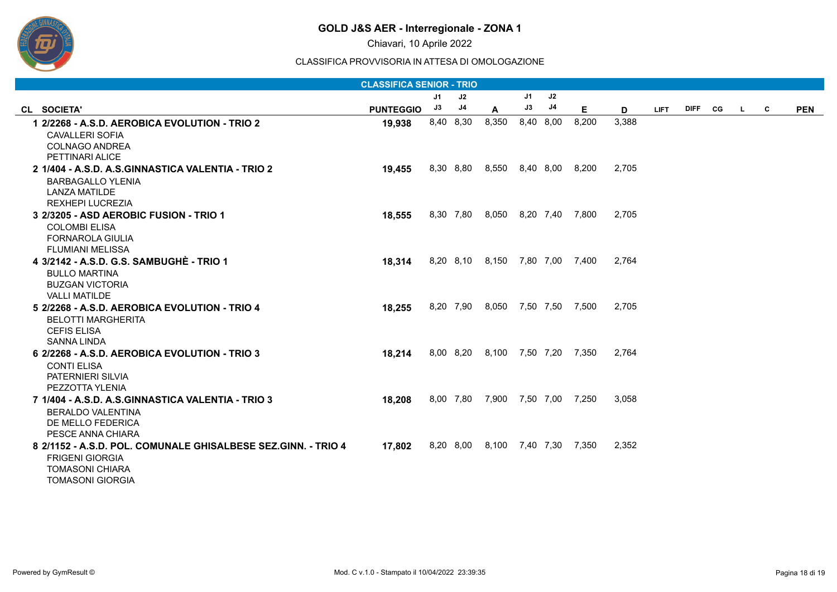

Chiavari, 10 Aprile 2022

| <b>CLASSIFICA SENIOR - TRIO</b>                                       |                  |                |           |                                 |    |           |       |       |             |             |           |    |   |            |
|-----------------------------------------------------------------------|------------------|----------------|-----------|---------------------------------|----|-----------|-------|-------|-------------|-------------|-----------|----|---|------------|
|                                                                       |                  | J <sub>1</sub> | J2        |                                 | J1 | J2        |       |       |             |             |           |    |   |            |
| CL SOCIETA'                                                           | <b>PUNTEGGIO</b> | J3             | J4        | A                               | J3 | J4        | E     | D     | <b>LIFT</b> | <b>DIFF</b> | <b>CG</b> | L. | C | <b>PEN</b> |
| 1 2/2268 - A.S.D. AEROBICA EVOLUTION - TRIO 2                         | 19,938           |                | 8,40 8,30 | 8,350                           |    | 8,40 8,00 | 8,200 | 3,388 |             |             |           |    |   |            |
| <b>CAVALLERI SOFIA</b>                                                |                  |                |           |                                 |    |           |       |       |             |             |           |    |   |            |
| <b>COLNAGO ANDREA</b>                                                 |                  |                |           |                                 |    |           |       |       |             |             |           |    |   |            |
| PETTINARI ALICE                                                       |                  |                |           |                                 |    |           |       |       |             |             |           |    |   |            |
| 2 1/404 - A.S.D. A.S.GINNASTICA VALENTIA - TRIO 2                     | 19,455           |                |           | 8,30 8,80 8,550 8,40 8,00 8,200 |    |           |       | 2.705 |             |             |           |    |   |            |
| <b>BARBAGALLO YLENIA</b>                                              |                  |                |           |                                 |    |           |       |       |             |             |           |    |   |            |
| <b>LANZA MATILDE</b>                                                  |                  |                |           |                                 |    |           |       |       |             |             |           |    |   |            |
| <b>REXHEPI LUCREZIA</b>                                               |                  |                |           |                                 |    |           |       |       |             |             |           |    |   |            |
| 3 2/3205 - ASD AEROBIC FUSION - TRIO 1                                | 18,555           |                |           | 8,30 7,80 8,050 8,20 7,40 7,800 |    |           |       | 2,705 |             |             |           |    |   |            |
| <b>COLOMBI ELISA</b>                                                  |                  |                |           |                                 |    |           |       |       |             |             |           |    |   |            |
| <b>FORNAROLA GIULIA</b>                                               |                  |                |           |                                 |    |           |       |       |             |             |           |    |   |            |
| <b>FLUMIANI MELISSA</b>                                               |                  |                |           |                                 |    |           |       |       |             |             |           |    |   |            |
| 4 3/2142 - A.S.D. G.S. SAMBUGHÈ - TRIO 1                              | 18,314           |                |           | 8,20 8,10 8,150 7,80 7,00 7,400 |    |           |       | 2,764 |             |             |           |    |   |            |
| <b>BULLO MARTINA</b>                                                  |                  |                |           |                                 |    |           |       |       |             |             |           |    |   |            |
| <b>BUZGAN VICTORIA</b>                                                |                  |                |           |                                 |    |           |       |       |             |             |           |    |   |            |
| <b>VALLI MATILDE</b><br>5 2/2268 - A.S.D. AEROBICA EVOLUTION - TRIO 4 |                  |                |           | 8,20 7,90 8,050 7,50 7,50 7,500 |    |           |       | 2,705 |             |             |           |    |   |            |
|                                                                       | 18,255           |                |           |                                 |    |           |       |       |             |             |           |    |   |            |
| <b>BELOTTI MARGHERITA</b><br><b>CEFIS ELISA</b>                       |                  |                |           |                                 |    |           |       |       |             |             |           |    |   |            |
| <b>SANNA LINDA</b>                                                    |                  |                |           |                                 |    |           |       |       |             |             |           |    |   |            |
| 6 2/2268 - A.S.D. AEROBICA EVOLUTION - TRIO 3                         | 18,214           |                |           | 8,00 8,20 8,100 7,50 7,20 7,350 |    |           |       | 2.764 |             |             |           |    |   |            |
| <b>CONTI ELISA</b>                                                    |                  |                |           |                                 |    |           |       |       |             |             |           |    |   |            |
| PATERNIERI SILVIA                                                     |                  |                |           |                                 |    |           |       |       |             |             |           |    |   |            |
| PEZZOTTA YLENIA                                                       |                  |                |           |                                 |    |           |       |       |             |             |           |    |   |            |
| 7 1/404 - A.S.D. A.S.GINNASTICA VALENTIA - TRIO 3                     | 18,208           |                |           | 8,00 7,80 7,900 7,50 7,00 7,250 |    |           |       | 3,058 |             |             |           |    |   |            |
| BERALDO VALENTINA                                                     |                  |                |           |                                 |    |           |       |       |             |             |           |    |   |            |
| DE MELLO FEDERICA                                                     |                  |                |           |                                 |    |           |       |       |             |             |           |    |   |            |
| PESCE ANNA CHIARA                                                     |                  |                |           |                                 |    |           |       |       |             |             |           |    |   |            |
| 8 2/1152 - A.S.D. POL. COMUNALE GHISALBESE SEZ.GINN. - TRIO 4         | 17,802           |                |           | 8,20 8,00 8,100 7,40 7,30 7,350 |    |           |       | 2,352 |             |             |           |    |   |            |
| <b>FRIGENI GIORGIA</b>                                                |                  |                |           |                                 |    |           |       |       |             |             |           |    |   |            |
| <b>TOMASONI CHIARA</b>                                                |                  |                |           |                                 |    |           |       |       |             |             |           |    |   |            |
| <b>TOMASONI GIORGIA</b>                                               |                  |                |           |                                 |    |           |       |       |             |             |           |    |   |            |